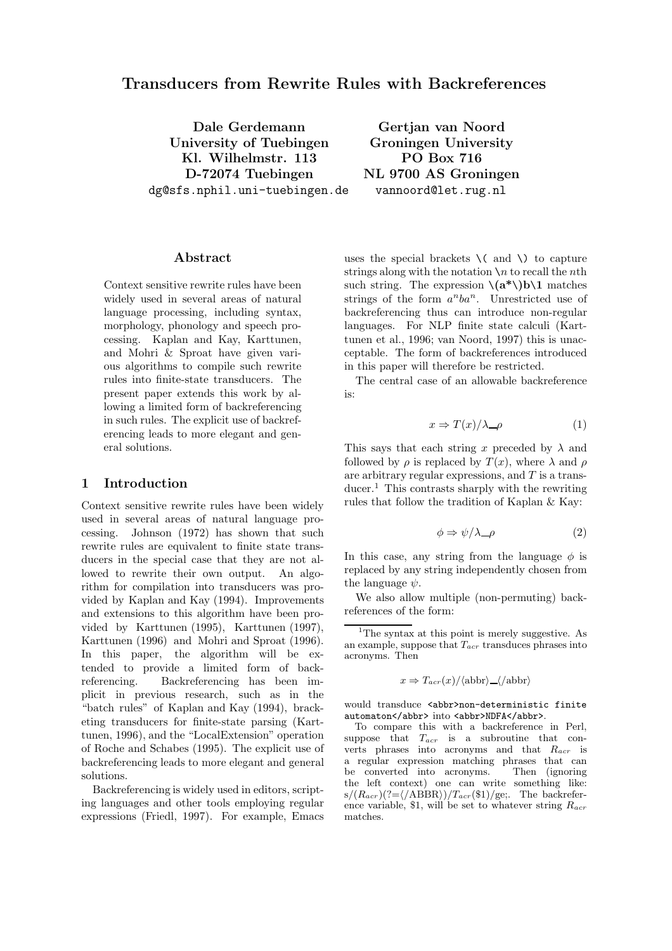# Transducers from Rewrite Rules with Backreferences

Dale Gerdemann Gertjan van Noord University of Tuebingen Groningen University Kl. Wilhelmstr. 113 PO Box 716 D-72074 Tuebingen NL 9700 AS Groningen dg@sfs.nphil.uni-tuebingen.de vannoord@let.rug.nl

## Abstract

Context sensitive rewrite rules have been widely used in several areas of natural language processing, including syntax, morphology, phonology and speech processing. Kaplan and Kay, Karttunen, and Mohri & Sproat have given various algorithms to compile such rewrite rules into finite-state transducers. The present paper extends this work by allowing a limited form of backreferencing in such rules. The explicit use of backreferencing leads to more elegant and general solutions.

## 1 Introduction

Context sensitive rewrite rules have been widely used in several areas of natural language processing. Johnson (1972) has shown that such rewrite rules are equivalent to finite state transducers in the special case that they are not allowed to rewrite their own output. An algorithm for compilation into transducers was provided by Kaplan and Kay (1994). Improvements and extensions to this algorithm have been provided by Karttunen (1995), Karttunen (1997), Karttunen (1996) and Mohri and Sproat (1996). In this paper, the algorithm will be extended to provide a limited form of backreferencing. Backreferencing has been implicit in previous research, such as in the "batch rules" of Kaplan and Kay (1994), bracketing transducers for finite-state parsing (Karttunen, 1996), and the "LocalExtension" operation of Roche and Schabes (1995). The explicit use of backreferencing leads to more elegant and general solutions.

Backreferencing is widely used in editors, scripting languages and other tools employing regular expressions (Friedl, 1997). For example, Emacs

uses the special brackets  $\setminus$  (and  $\setminus$ ) to capture strings along with the notation  $\ln$  to recall the *nth* such string. The expression  $\langle (a^* \rangle) b \rangle$  matches strings of the form  $a^nba^n$ . Unrestricted use of backreferencing thus can introduce non-regular languages. For NLP finite state calculi (Karttunen et al., 1996; van Noord, 1997) this is unacceptable. The form of backreferences introduced in this paper will therefore be restricted.

The central case of an allowable backreference is:

$$
x \Rightarrow T(x)/\lambda \quad \rho \tag{1}
$$

This says that each string x preceded by  $\lambda$  and followed by  $\rho$  is replaced by  $T(x)$ , where  $\lambda$  and  $\rho$ are arbitrary regular expressions, and  $T$  is a transducer.<sup>1</sup> This contrasts sharply with the rewriting rules that follow the tradition of Kaplan & Kay:

$$
\phi \Rightarrow \psi/\lambda \_\rho \tag{2}
$$

In this case, any string from the language  $\phi$  is replaced by any string independently chosen from the language  $\psi$ .

We also allow multiple (non-permuting) backreferences of the form:

$$
x \Rightarrow T_{acr}(x) / \langle \text{abbr} \rangle \underline{\hspace{0.1cm}} \langle \text{abbr} \rangle
$$

would transduce <abbr>non-deterministic finite automaton</abbr> into <abbr>NDFA</abbr>.

 $1$ The syntax at this point is merely suggestive. As an example, suppose that  $T_{acr}$  transduces phrases into acronyms. Then

To compare this with a backreference in Perl, suppose that  $T_{acr}$  is a subroutine that converts phrases into acronyms and that  $R_{acr}$  is a regular expression matching phrases that can be converted into acronyms. the left context) one can write something like:  $s/(R_{acr})(?=\langle ABBR \rangle)/T_{acr}(\$1)/ge;$ . The backreference variable, \$1, will be set to whatever string  $R_{acr}$ matches.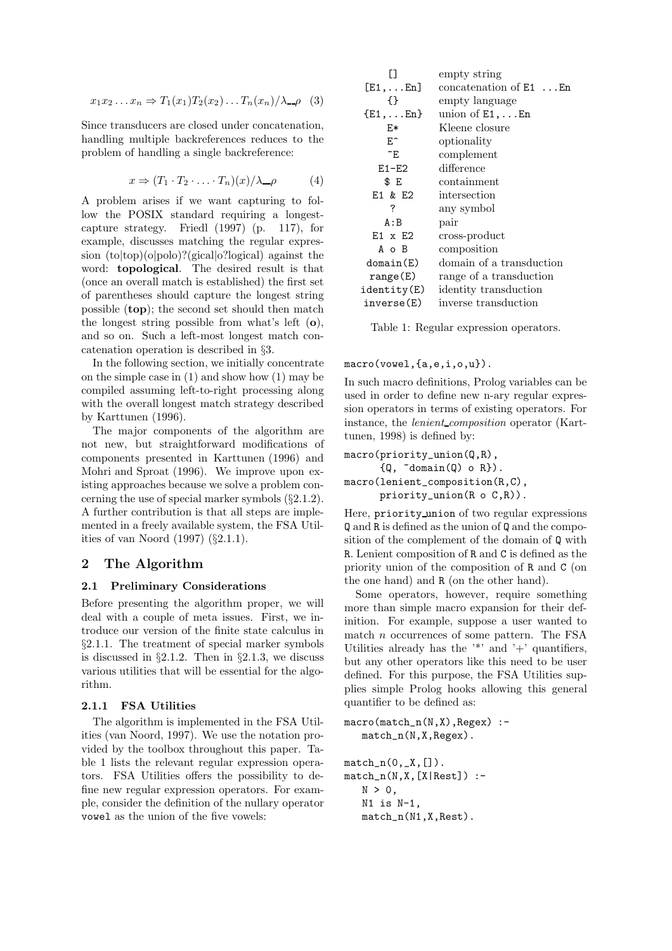$$
x_1x_2...x_n \Rightarrow T_1(x_1)T_2(x_2)...T_n(x_n)/\lambda \_\rho \quad (3)
$$

Since transducers are closed under concatenation, handling multiple backreferences reduces to the problem of handling a single backreference:

$$
x \Rightarrow (T_1 \cdot T_2 \cdot \ldots \cdot T_n)(x) / \lambda \quad \rho \tag{4}
$$

A problem arises if we want capturing to follow the POSIX standard requiring a longestcapture strategy. Friedl (1997) (p. 117), for example, discusses matching the regular expression (to|top)(o|polo)?(gical|o?logical) against the word: topological. The desired result is that (once an overall match is established) the first set of parentheses should capture the longest string possible (top); the second set should then match the longest string possible from what's left (o), and so on. Such a left-most longest match concatenation operation is described in §3.

In the following section, we initially concentrate on the simple case in (1) and show how (1) may be compiled assuming left-to-right processing along with the overall longest match strategy described by Karttunen (1996).

The major components of the algorithm are not new, but straightforward modifications of components presented in Karttunen (1996) and Mohri and Sproat (1996). We improve upon existing approaches because we solve a problem concerning the use of special marker symbols (§2.1.2). A further contribution is that all steps are implemented in a freely available system, the FSA Utilities of van Noord (1997) (§2.1.1).

## 2 The Algorithm

## 2.1 Preliminary Considerations

Before presenting the algorithm proper, we will deal with a couple of meta issues. First, we introduce our version of the finite state calculus in §2.1.1. The treatment of special marker symbols is discussed in  $\S2.1.2$ . Then in  $\S2.1.3$ , we discuss various utilities that will be essential for the algorithm.

## 2.1.1 FSA Utilities

The algorithm is implemented in the FSA Utilities (van Noord, 1997). We use the notation provided by the toolbox throughout this paper. Table 1 lists the relevant regular expression operators. FSA Utilities offers the possibility to define new regular expression operators. For example, consider the definition of the nullary operator vowel as the union of the five vowels:

| П                   | empty string             |
|---------------------|--------------------------|
| $[E1, \ldots En]$   | concatenation of $E1$ En |
| ብ የ                 | empty language           |
| $\{E1, \ldots En\}$ | union of $E1, \ldots En$ |
| F.*                 | Kleene closure           |
| F.                  | optionality              |
| $\tilde{}$ E        | complement               |
| $E1-E2$             | difference               |
| \$ E                | containment              |
| E1 & E2             | intersection             |
| ?                   | any symbol               |
| A:B                 | pair                     |
| $E1 \times E2$      | cross-product            |
| A o B               | composition              |
| domain(E)           | domain of a transduction |
| range(E)            | range of a transduction  |
| identity(E)         | identity transduction    |
| inverse(E)          | inverse transduction     |

Table 1: Regular expression operators.

macro(vowel,{a,e,i,o,u}).

In such macro definitions, Prolog variables can be used in order to define new n-ary regular expression operators in terms of existing operators. For instance, the *lenient\_composition* operator (Karttunen, 1998) is defined by:

```
macro(priority_union(Q,R),
      {Q, \text{ "domain(Q) o R}}.
macro(lenient_composition(R,C),
      priority_union(R o C,R)).
```
Here, priority union of two regular expressions Q and R is defined as the union of Q and the composition of the complement of the domain of Q with R. Lenient composition of R and C is defined as the priority union of the composition of R and C (on the one hand) and R (on the other hand).

Some operators, however, require something more than simple macro expansion for their definition. For example, suppose a user wanted to match  $n$  occurrences of some pattern. The FSA Utilities already has the  $'$  and  $'$  +' quantifiers, but any other operators like this need to be user defined. For this purpose, the FSA Utilities supplies simple Prolog hooks allowing this general quantifier to be defined as:

```
macro(match_n(N,X),Regex) :-
   match_n(N,X,Regex).
```
 $match_n(0, _X, []).$  $match_n(N,X,[X|Rest])$  :- $N > 0$ , N1 is N-1, match\_n(N1,X,Rest).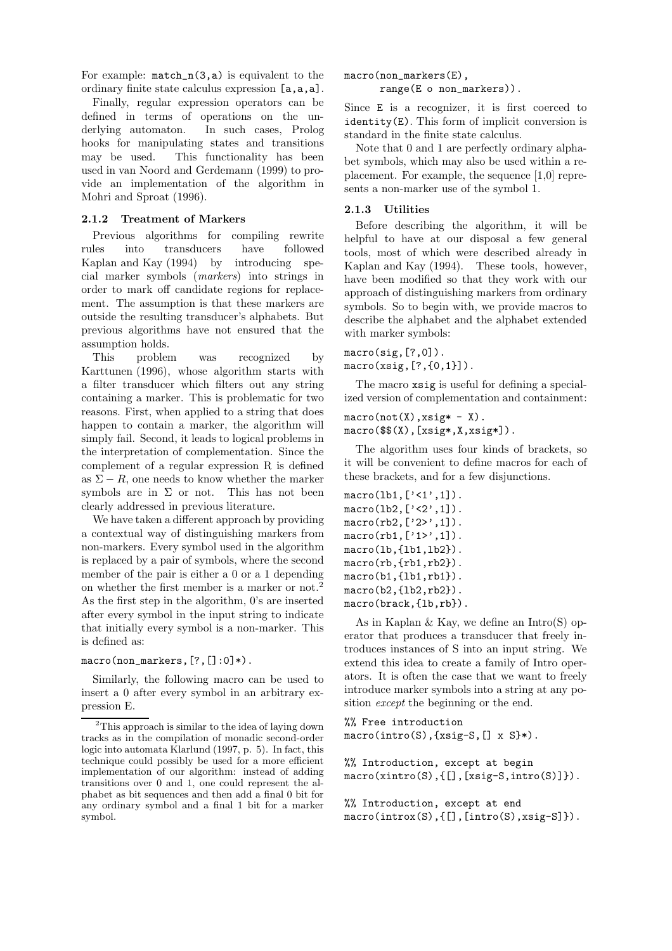For example:  $match_n(3,a)$  is equivalent to the ordinary finite state calculus expression [a,a,a].

Finally, regular expression operators can be defined in terms of operations on the underlying automaton. In such cases, Prolog hooks for manipulating states and transitions may be used. This functionality has been used in van Noord and Gerdemann (1999) to provide an implementation of the algorithm in Mohri and Sproat (1996).

#### 2.1.2 Treatment of Markers

Previous algorithms for compiling rewrite rules into transducers have followed Kaplan and Kay (1994) by introducing special marker symbols (markers) into strings in order to mark off candidate regions for replacement. The assumption is that these markers are outside the resulting transducer's alphabets. But previous algorithms have not ensured that the assumption holds.

This problem was recognized by Karttunen (1996), whose algorithm starts with a filter transducer which filters out any string containing a marker. This is problematic for two reasons. First, when applied to a string that does happen to contain a marker, the algorithm will simply fail. Second, it leads to logical problems in the interpretation of complementation. Since the complement of a regular expression R is defined as  $\Sigma - R$ , one needs to know whether the marker symbols are in  $\Sigma$  or not. This has not been clearly addressed in previous literature.

We have taken a different approach by providing a contextual way of distinguishing markers from non-markers. Every symbol used in the algorithm is replaced by a pair of symbols, where the second member of the pair is either a 0 or a 1 depending on whether the first member is a marker or not.<sup>2</sup> As the first step in the algorithm, 0's are inserted after every symbol in the input string to indicate that initially every symbol is a non-marker. This is defined as:

#### macro(non\_markers,[?,[]:0]\*).

Similarly, the following macro can be used to insert a 0 after every symbol in an arbitrary expression E.

macro(non\_markers(E),

range(E o non\_markers)).

Since E is a recognizer, it is first coerced to identity(E). This form of implicit conversion is standard in the finite state calculus.

Note that 0 and 1 are perfectly ordinary alphabet symbols, which may also be used within a replacement. For example, the sequence [1,0] represents a non-marker use of the symbol 1.

#### 2.1.3 Utilities

Before describing the algorithm, it will be helpful to have at our disposal a few general tools, most of which were described already in Kaplan and Kay (1994). These tools, however, have been modified so that they work with our approach of distinguishing markers from ordinary symbols. So to begin with, we provide macros to describe the alphabet and the alphabet extended with marker symbols:

 $macro(sig, [?,0])$ . macro(xsig,[?,{0,1}]).

The macro xsig is useful for defining a specialized version of complementation and containment:

```
macro(not(X),xsig* - X).
macro($$(X),[xsig*,X,xsig*]).
```
The algorithm uses four kinds of brackets, so it will be convenient to define macros for each of these brackets, and for a few disjunctions.

```
macro(lb1, ['1', 1]).macro(lb2,['<2',1]).
macro(rb2, [22, 1]).macro(rb1, [1,1,1]).macro(lb,{lb1,lb2}).
macro(rb, {rb1, rb2}).macro(b1,{lb1,rb1}).
macro(b2,{lb2,rb2}).
macro(brack,{lb,rb}).
```
As in Kaplan & Kay, we define an Intro(S) operator that produces a transducer that freely introduces instances of S into an input string. We extend this idea to create a family of Intro operators. It is often the case that we want to freely introduce marker symbols into a string at any position except the beginning or the end.

%% Free introduction macro(intro(S),{xsig-S,[] x S}\*).

```
%% Introduction, except at begin
macro(xintro(S),{[],[xsig-S,intro(S)]}).
```

```
%% Introduction, except at end
macro(introx(S),{[],[intro(S),xsig-S]}).
```
<sup>&</sup>lt;sup>2</sup>This approach is similar to the idea of laying down tracks as in the compilation of monadic second-order logic into automata Klarlund (1997, p. 5). In fact, this technique could possibly be used for a more efficient implementation of our algorithm: instead of adding transitions over 0 and 1, one could represent the alphabet as bit sequences and then add a final 0 bit for any ordinary symbol and a final 1 bit for a marker symbol.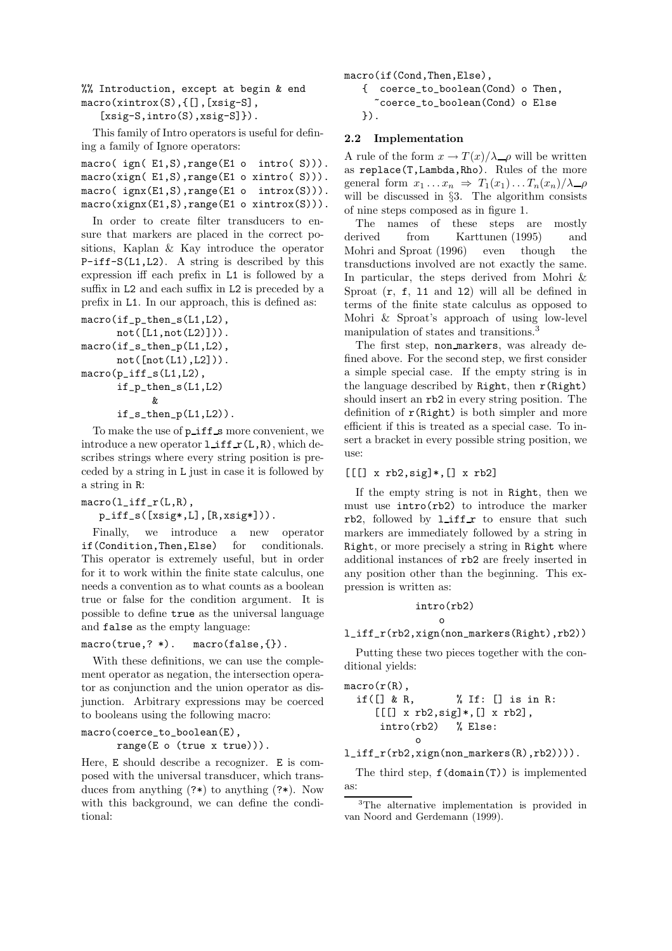%% Introduction, except at begin & end macro(xintrox(S),{[],[xsig-S],

[xsig-S,intro(S),xsig-S]}).

This family of Intro operators is useful for defining a family of Ignore operators:

| macro( $ign(E1, S), range(E1 \text{ o } intro(S))).$ |  |  |
|------------------------------------------------------|--|--|
| $macro(xign( E1, S), range(E1 o xintro(S))).$        |  |  |
| macro( $ignx(E1,S),range(E1o-introx(S))$ ).          |  |  |
| $macro(xignx(E1, S), range(E1 o xintrox(S))).$       |  |  |

In order to create filter transducers to ensure that markers are placed in the correct positions, Kaplan & Kay introduce the operator P-iff-S(L1,L2). A string is described by this expression iff each prefix in L1 is followed by a suffix in L2 and each suffix in L2 is preceded by a prefix in L1. In our approach, this is defined as:

```
macro(if_p_then_s(L1,L2),
       not([L1, not(L2)]).
macro(if_s_then_p(L1,L2),
       not([not(L1), L2])).
macro(p_iff_s(L1,L2),
       if_p_then_s(L1,L2)
              \boldsymbol{\mathcal{X}}if_s_then_p(L1,L2)).
```
To make the use of  $p$ **iff** s more convenient, we introduce a new operator  $l$  iff  $r(L,R)$ , which describes strings where every string position is preceded by a string in L just in case it is followed by a string in R:

macro(l\_iff\_r(L,R),

 $p_{iffs}([xsig*,L], [R,xsig*]))$ .

Finally, we introduce a new operator if(Condition,Then,Else) for conditionals. This operator is extremely useful, but in order for it to work within the finite state calculus, one needs a convention as to what counts as a boolean true or false for the condition argument. It is possible to define true as the universal language and false as the empty language:

## macro(true,? \*). macro(false,{}).

With these definitions, we can use the complement operator as negation, the intersection operator as conjunction and the union operator as disjunction. Arbitrary expressions may be coerced to booleans using the following macro:

## macro(coerce\_to\_boolean(E),

range(E o (true x true))).

Here, E should describe a recognizer. E is composed with the universal transducer, which transduces from anything (?\*) to anything (?\*). Now with this background, we can define the conditional:



## 2.2 Implementation

A rule of the form  $x \to T(x)/\lambda \rho$  will be written as replace(T,Lambda,Rho). Rules of the more general form  $x_1 \ldots x_n \Rightarrow T_1(x_1) \ldots T_n(x_n)/\lambda = \rho$ will be discussed in §3. The algorithm consists of nine steps composed as in figure 1.

The names of these steps are mostly derived from Karttunen (1995) and Mohri and Sproat (1996) even though the transductions involved are not exactly the same. In particular, the steps derived from Mohri & Sproat  $(r, f, 11 \text{ and } 12)$  will all be defined in terms of the finite state calculus as opposed to Mohri & Sproat's approach of using low-level manipulation of states and transitions.<sup>3</sup>

The first step, non markers, was already defined above. For the second step, we first consider a simple special case. If the empty string is in the language described by Right, then  $r(Right)$ should insert an rb2 in every string position. The definition of  $r(Right)$  is both simpler and more efficient if this is treated as a special case. To insert a bracket in every possible string position, we use:

## $[[[] x rb2, sig]*, [] x rb2]$

If the empty string is not in Right, then we must use intro(rb2) to introduce the marker rb2, followed by  $l$ **iff**  $r$  to ensure that such markers are immediately followed by a string in Right, or more precisely a string in Right where additional instances of rb2 are freely inserted in any position other than the beginning. This expression is written as:

$$
\frac{\texttt{intro}(\texttt{rb2})}{\circ}
$$

## l\_iff\_r(rb2,xign(non\_markers(Right),rb2))

Putting these two pieces together with the conditional yields:

```
macro(r(R),
        if([x] \& R, \qquad x \& If: [x] \& if: x \& if: x \& if: x \& if: x \& if: x \& if: x \& if: x \& if: x \& if: x \& if: x \& if: x \& if: x \& if: x \& if: x \& if: x \& if: x \& if: x \& if: x \& if: x \& if: x \& if: x \& if: x \& if: x \& if: x \& if: x \& if: x \& if: x \& if: x \[[[] x rb2, sig]*, [] x rb2],intro(rb2) % Else:
                                            o
```
l\_iff\_r(rb2,xign(non\_markers(R),rb2)))).

The third step,  $f(\text{domain}(T))$  is implemented as:

<sup>&</sup>lt;sup>3</sup>The alternative implementation is provided in van Noord and Gerdemann (1999).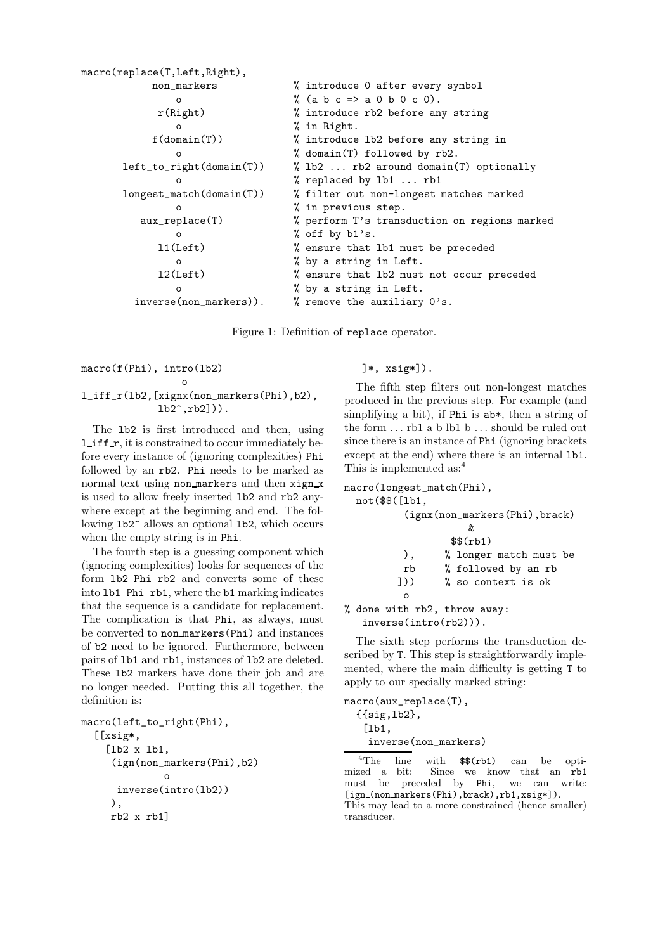```
macro(replace(T,Left,Right),
         non markers \frac{1}{2} introduce 0 after every symbol
            o \frac{9}{6} (a b c => a 0 b 0 c 0).
          r(Right) % introduce rb2 before any string
            o % in Right.
         f(domain(T)) % introduce lb2 before any string in
            o % domain(T) followed by rb2.
     left_to_right(domain(T)) % lb2 ... rb2 around domain(T) optionally
            o % replaced by lb1 ... rb1
     longest_match(domain(T)) % filter out non-longest matches marked
            o % in previous step.
        aux_replace(T) % perform T's transduction on regions marked
            o % off by b1's.
          l1(Left) % ensure that lb1 must be preceded
            o % by a string in Left.
          l2(Left) % ensure that lb2 must not occur preceded
            o % by a string in Left.
       inverse(non_markers)). \frac{1}{2} we \frac{1}{2} remove the auxiliary 0's.
```
Figure 1: Definition of replace operator.

macro(f(Phi), intro(lb2)

## o l\_iff\_r(lb2,[xignx(non\_markers(Phi),b2),  $lb2^{\hat{ }}$ , $rb2])$ .

The lb2 is first introduced and then, using  $l$  if  $r$ , it is constrained to occur immediately before every instance of (ignoring complexities) Phi followed by an rb2. Phi needs to be marked as normal text using non markers and then xign x is used to allow freely inserted lb2 and rb2 anywhere except at the beginning and end. The following lb2^ allows an optional lb2, which occurs when the empty string is in Phi.

The fourth step is a guessing component which (ignoring complexities) looks for sequences of the form lb2 Phi rb2 and converts some of these into lb1 Phi rb1, where the b1 marking indicates that the sequence is a candidate for replacement. The complication is that Phi, as always, must be converted to non markers(Phi) and instances of b2 need to be ignored. Furthermore, between pairs of lb1 and rb1, instances of lb2 are deleted. These lb2 markers have done their job and are no longer needed. Putting this all together, the definition is:

```
macro(left_to_right(Phi),
  [[xsig*,
    [lb2 x lb1,
     (ign(non_markers(Phi),b2)
              o
      inverse(intro(lb2))
     ),
     rb2 x rb1]
```
]\*, xsig\*]).

The fifth step filters out non-longest matches produced in the previous step. For example (and simplifying a bit), if Phi is ab\*, then a string of the form  $\dots$  rb1 a b lb1 b  $\dots$  should be ruled out since there is an instance of Phi (ignoring brackets except at the end) where there is an internal lb1. This is implemented as:<sup>4</sup>

```
macro(longest_match(Phi),
  not($$([lb1,
          (ignx(non_markers(Phi),brack)
                    &
                 $$(rb1)
         ), % longer match must be
         rb % followed by an rb
        ])) % so context is ok
         o
% done with rb2, throw away:
   inverse(intro(rb2))).
```
The sixth step performs the transduction described by T. This step is straightforwardly implemented, where the main difficulty is getting T to apply to our specially marked string:

```
macro(aux_replace(T),
```
{{sig,lb2}, [1b1, inverse(non\_markers)

<sup>4</sup>The line with  $\frac{1}{2}$  (rb1) can be opti-<br>mized a bit: Since we know that an rb1 Since we know that an rb1 must be preceded by Phi, we can write: [ign\_(non\_markers(Phi),brack),rb1,xsig\*]). This may lead to a more constrained (hence smaller) transducer.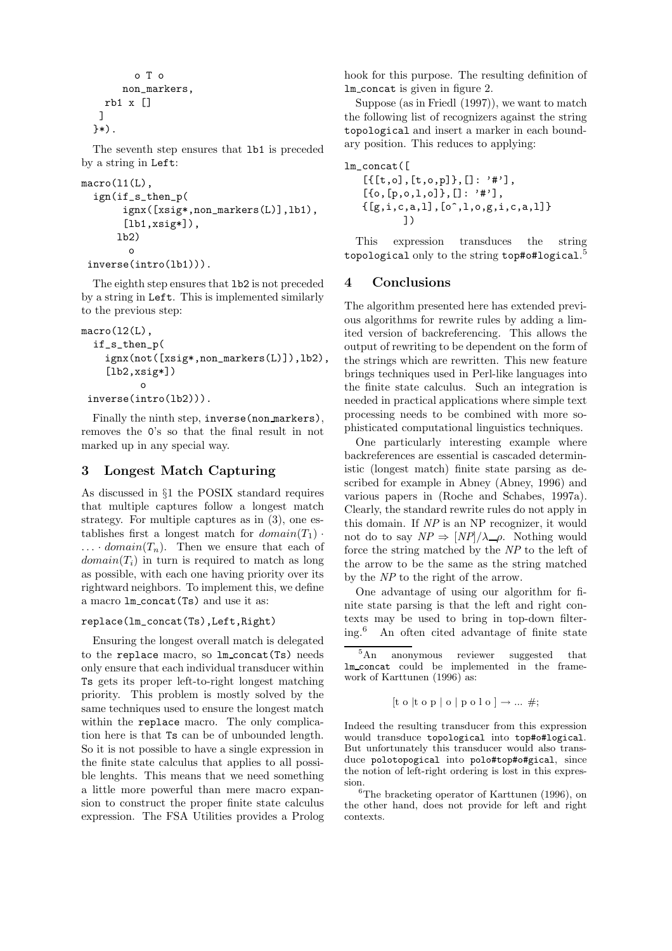```
o T o
     non_markers,
  rb1 x []
 ]
}*).
```
The seventh step ensures that lb1 is preceded by a string in Left:

```
macro(11(L),ign(if_s_then_p(
       ignx([xsig*,non_markers(L)],lb1),
       [lb1,xsig*]),
      lb2)
        o
 inverse(intro(lb1))).
```
The eighth step ensures that lb2 is not preceded by a string in Left. This is implemented similarly to the previous step:

```
macro(12(L),if_s_then_p(
    ignx(not([xsig*,non_markers(L)]),lb2),
    [1b2, xsig*])o
```

```
inverse(intro(lb2))).
```
Finally the ninth step, inverse(non markers), removes the 0's so that the final result in not marked up in any special way.

# 3 Longest Match Capturing

As discussed in §1 the POSIX standard requires that multiple captures follow a longest match strategy. For multiple captures as in (3), one establishes first a longest match for  $domain(T_1)$ .  $\ldots$  *domain* $(T_n)$ . Then we ensure that each of  $domain(T<sub>i</sub>)$  in turn is required to match as long as possible, with each one having priority over its rightward neighbors. To implement this, we define a macro  $lm\_concat(Ts)$  and use it as:

## replace(lm\_concat(Ts),Left,Right)

Ensuring the longest overall match is delegated to the replace macro, so lm concat(Ts) needs only ensure that each individual transducer within Ts gets its proper left-to-right longest matching priority. This problem is mostly solved by the same techniques used to ensure the longest match within the replace macro. The only complication here is that Ts can be of unbounded length. So it is not possible to have a single expression in the finite state calculus that applies to all possible lenghts. This means that we need something a little more powerful than mere macro expansion to construct the proper finite state calculus expression. The FSA Utilities provides a Prolog

hook for this purpose. The resulting definition of lm concat is given in figure 2.

Suppose (as in Friedl (1997)), we want to match the following list of recognizers against the string topological and insert a marker in each boundary position. This reduces to applying:

```
lm_concat([
    [{\{\tceil t, o\}, \tceil t, o, p]}, []: ' #'],
    [{0,[p, 0, 1, 0]},[]: '#'],
    \{[g,i,c,a,l],[o^{\hat{}},l,o,g,i,c,a,l]\}])
```
This expression transduces the string topological only to the string top#o#logical.<sup>5</sup>

## 4 Conclusions

The algorithm presented here has extended previous algorithms for rewrite rules by adding a limited version of backreferencing. This allows the output of rewriting to be dependent on the form of the strings which are rewritten. This new feature brings techniques used in Perl-like languages into the finite state calculus. Such an integration is needed in practical applications where simple text processing needs to be combined with more sophisticated computational linguistics techniques.

One particularly interesting example where backreferences are essential is cascaded deterministic (longest match) finite state parsing as described for example in Abney (Abney, 1996) and various papers in (Roche and Schabes, 1997a). Clearly, the standard rewrite rules do not apply in this domain. If NP is an NP recognizer, it would not do to say  $NP \Rightarrow \frac{[NP]}{\lambda}$  P. Nothing would force the string matched by the NP to the left of the arrow to be the same as the string matched by the NP to the right of the arrow.

One advantage of using our algorithm for finite state parsing is that the left and right contexts may be used to bring in top-down filter-<br>ing.<sup>6</sup> An often cited advantage of finite state An often cited advantage of finite state

```
[t \circ [t \circ p] \circ [p \circ l \circ] \rightarrow ... \neq;
```
Indeed the resulting transducer from this expression would transduce topological into top#o#logical. But unfortunately this transducer would also transduce polotopogical into polo#top#o#gical, since the notion of left-right ordering is lost in this expression.

<sup>6</sup>The bracketing operator of Karttunen (1996), on the other hand, does not provide for left and right contexts.

 $\overline{5_{\text{An}}}$  anonymous reviewer suggested that lm concat could be implemented in the framework of Karttunen (1996) as: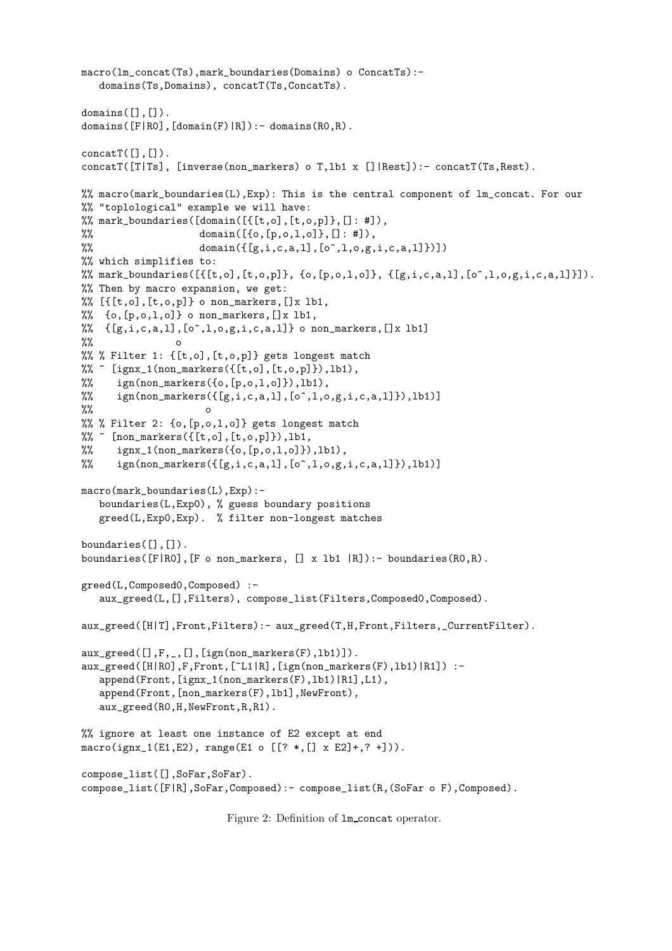```
macro(lm_concat(Ts),mark_boundaries(Domains) o ConcatTs):-
   domains(Ts,Domains), concatT(Ts,ConcatTs).
domains([], []).
domains([F|RO], [domain(F)|R]): - domains(RO, R).
concatT([], []).concatT([T|Ts], [inverse(non_markers) o T,lb1 x []|Rest]):- concatT(Ts,Rest).
%% macro(mark_boundaries(L),Exp): This is the central component of lm_concat. For our
%% "toplological" example we will have:
\% mark_boundaries([domain([{\texttt{[t,o]}},[t,o,p]}], []: #]),
%% domain([0, [p, 0, 1, 0], [1:  #]),%% domain({[g,i,c,a,l],[o^*,l,o,g,i,c,a,l]})%% which simplifies to:
%% mark_boundaries([\{[t, o], [t, o, p]\}, \{o, [p, o, 1, o]\}, \{[g, i, c, a, l], [o^*, l, o, g, i, c, a, l]\}]).
%% Then by macro expansion, we get:
%% [{[t,o],[t,o,p]} o non_markers,[]x lb1,
% {o, [p,o,1,o]} o non_markers, []x 1b1,
% {[g,i,c,a,l],[o^,l,o,g,i,c,a,l]} o non_markers,[]x lb1]
\frac{9}{2}%% % Filter 1: {[t,o],[t,o,p]} gets longest match
\frac{1}{n} [ignx_1(non_markers({[t,o],[t,o,p]}),1b1),
\% ign(non_markers({0,[p,o,1,o]}),lb1),
%% ign(non_markers(\{[g,i,c,a,l], [o^*,l,o,g,i,c,a,l]\}\),lb1)]
%% o
%% % Filter 2: {o,[p,o,l,o]} gets longest match
% \in [non_markers({[t,o],[t,o,p]}),1b1,
% ignx_1(non_markers({o,[p,o,1,o]}),lb1),
\frac{1}{2} ign(non_markers({[g,i,c,a,l],[o^,l,o,g,i,c,a,l]}),lb1)]
macro(mark_boundaries(L),Exp):-
   boundaries(L,Exp0), % guess boundary positions
   greed(L,Exp0,Exp). % filter non-longest matches
boundaries([],[]).
boundaries([F|R0], [F \circ non\_markers, [] x lb1 |R]): - boundaries(R0, R).
greed(L,Composed0,Composed) :-
   aux_greed(L,[],Filters), compose_list(Filters,Composed0,Composed).
aux_greed([H|T],Front,Filters):- aux_greed(T,H,Front,Filters,_CurrentFilter).
aux_greed([],F,_,[],[ign(non_markers(F),lb1)]).
aux_greed([H|R0],F,Front,[~L1|R],[ign(non_markers(F),lb1)|R1]) :-
   append(Front,[ignx_1(non_markers(F),lb1)|R1],L1),
   append(Front,[non_markers(F),lb1],NewFront),
   aux_greed(R0,H,NewFront,R,R1).
%% ignore at least one instance of E2 except at end
macro(ignx_1(E1,E2), range(E1 o [? *, [] x E2]+, ? + ])).
compose_list([],SoFar,SoFar).
compose_list([F|R],SoFar,Composed):- compose_list(R,(SoFar o F),Composed).
```
Figure 2: Definition of  $lm\_concat$  operator.